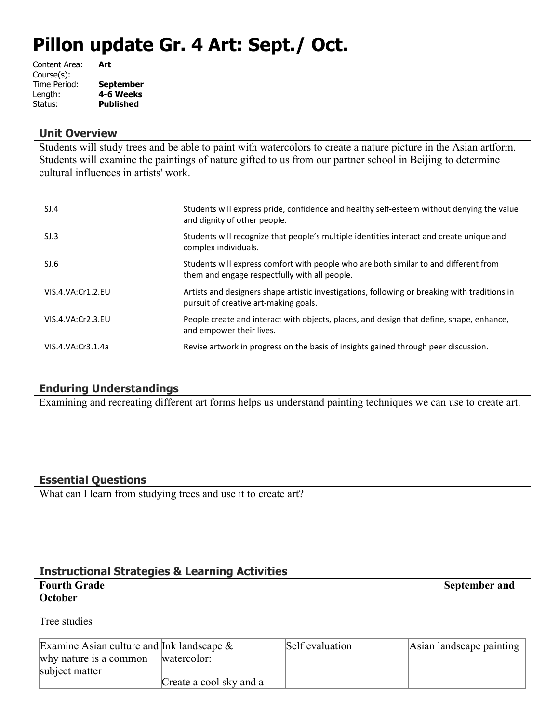# **Pillon update Gr. 4 Art: Sept./ Oct.**

| Content Area: | Art              |
|---------------|------------------|
| Course(s):    |                  |
| Time Period:  | <b>September</b> |
| Length:       | 4-6 Weeks        |
| Status:       | <b>Published</b> |
|               |                  |

#### **Unit Overview**

Students will study trees and be able to paint with watercolors to create a nature picture in the Asian artform. Students will examine the paintings of nature gifted to us from our partner school in Beijing to determine cultural influences in artists' work.

| SI.4              | Students will express pride, confidence and healthy self-esteem without denying the value<br>and dignity of other people.              |
|-------------------|----------------------------------------------------------------------------------------------------------------------------------------|
| SI.3              | Students will recognize that people's multiple identities interact and create unique and<br>complex individuals.                       |
| SI.6              | Students will express comfort with people who are both similar to and different from<br>them and engage respectfully with all people.  |
| VIS.4.VA:Cr1.2.EU | Artists and designers shape artistic investigations, following or breaking with traditions in<br>pursuit of creative art-making goals. |
| VIS.4.VA:Cr2.3.EU | People create and interact with objects, places, and design that define, shape, enhance,<br>and empower their lives.                   |
| VIS.4.VA:Cr3.1.4a | Revise artwork in progress on the basis of insights gained through peer discussion.                                                    |

#### **Enduring Understandings**

Examining and recreating different art forms helps us understand painting techniques we can use to create art.

#### **Essential Questions**

What can I learn from studying trees and use it to create art?

#### **Instructional Strategies & Learning Activities**

## **October**

**Fourth Grade** September and **September and** 

#### Tree studies

| Examine Asian culture and Ink landscape $\&$ |                         | Self evaluation | Asian landscape painting |
|----------------------------------------------|-------------------------|-----------------|--------------------------|
| why nature is a common                       | watercolor:             |                 |                          |
| subject matter                               |                         |                 |                          |
|                                              | Create a cool sky and a |                 |                          |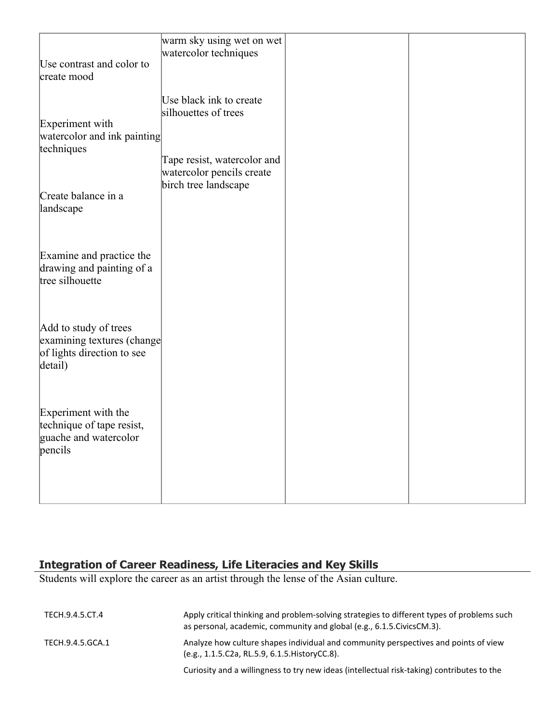| Use contrast and color to<br>create mood                                                     | warm sky using wet on wet<br>watercolor techniques                                                                                  |  |
|----------------------------------------------------------------------------------------------|-------------------------------------------------------------------------------------------------------------------------------------|--|
| Experiment with<br>watercolor and ink painting<br>techniques<br>Create balance in a          | Use black ink to create<br>silhouettes of trees<br>Tape resist, watercolor and<br>watercolor pencils create<br>birch tree landscape |  |
| landscape<br>Examine and practice the<br>drawing and painting of a<br>tree silhouette        |                                                                                                                                     |  |
| Add to study of trees<br>examining textures (change<br>of lights direction to see<br>detail) |                                                                                                                                     |  |
| Experiment with the<br>technique of tape resist,<br>guache and watercolor<br>pencils         |                                                                                                                                     |  |

#### **Integration of Career Readiness, Life Literacies and Key Skills**

Students will explore the career as an artist through the lense of the Asian culture.

| TECH.9.4.5.CT.4  | Apply critical thinking and problem-solving strategies to different types of problems such<br>as personal, academic, community and global (e.g., 6.1.5. Civics CM.3). |
|------------------|-----------------------------------------------------------------------------------------------------------------------------------------------------------------------|
| TECH.9.4.5.GCA.1 | Analyze how culture shapes individual and community perspectives and points of view<br>(e.g., 1.1.5.C2a, RL.5.9, 6.1.5. History CC.8).                                |
|                  | Curiosity and a willingness to try new ideas (intellectual risk-taking) contributes to the                                                                            |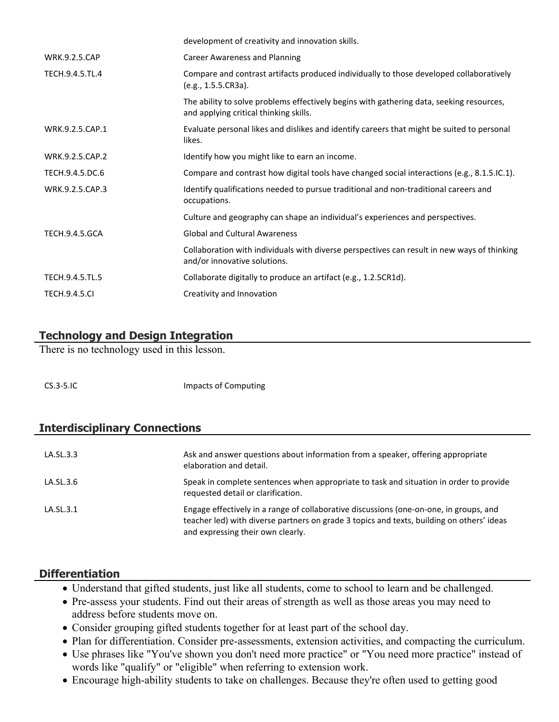|                       | development of creativity and innovation skills.                                                                                   |
|-----------------------|------------------------------------------------------------------------------------------------------------------------------------|
| <b>WRK.9.2.5.CAP</b>  | Career Awareness and Planning                                                                                                      |
| TECH.9.4.5.TL.4       | Compare and contrast artifacts produced individually to those developed collaboratively<br>(e.g., 1.5.5.CR3a).                     |
|                       | The ability to solve problems effectively begins with gathering data, seeking resources,<br>and applying critical thinking skills. |
| WRK.9.2.5.CAP.1       | Evaluate personal likes and dislikes and identify careers that might be suited to personal<br>likes.                               |
| WRK.9.2.5.CAP.2       | Identify how you might like to earn an income.                                                                                     |
| TECH.9.4.5.DC.6       | Compare and contrast how digital tools have changed social interactions (e.g., 8.1.5.IC.1).                                        |
| WRK.9.2.5.CAP.3       | Identify qualifications needed to pursue traditional and non-traditional careers and<br>occupations.                               |
|                       | Culture and geography can shape an individual's experiences and perspectives.                                                      |
| <b>TECH.9.4.5.GCA</b> | <b>Global and Cultural Awareness</b>                                                                                               |
|                       | Collaboration with individuals with diverse perspectives can result in new ways of thinking<br>and/or innovative solutions.        |
| TECH.9.4.5.TL.5       | Collaborate digitally to produce an artifact (e.g., 1.2.5CR1d).                                                                    |
| <b>TECH.9.4.5.CI</b>  | Creativity and Innovation                                                                                                          |
|                       |                                                                                                                                    |

#### **Technology and Design Integration**

There is no technology used in this lesson.

CS.3-5.IC Impacts of Computing

#### **Interdisciplinary Connections**

| LA.SL.3.3 | Ask and answer questions about information from a speaker, offering appropriate<br>elaboration and detail.                                                                                                               |
|-----------|--------------------------------------------------------------------------------------------------------------------------------------------------------------------------------------------------------------------------|
| LA.SL.3.6 | Speak in complete sentences when appropriate to task and situation in order to provide<br>requested detail or clarification.                                                                                             |
| LA.SL.3.1 | Engage effectively in a range of collaborative discussions (one-on-one, in groups, and<br>teacher led) with diverse partners on grade 3 topics and texts, building on others' ideas<br>and expressing their own clearly. |

#### **Differentiation**

- Understand that gifted students, just like all students, come to school to learn and be challenged.
- Pre-assess your students. Find out their areas of strength as well as those areas you may need to address before students move on.
- Consider grouping gifted students together for at least part of the school day.
- Plan for differentiation. Consider pre-assessments, extension activities, and compacting the curriculum.
- Use phrases like "You've shown you don't need more practice" or "You need more practice" instead of words like "qualify" or "eligible" when referring to extension work.
- Encourage high-ability students to take on challenges. Because they're often used to getting good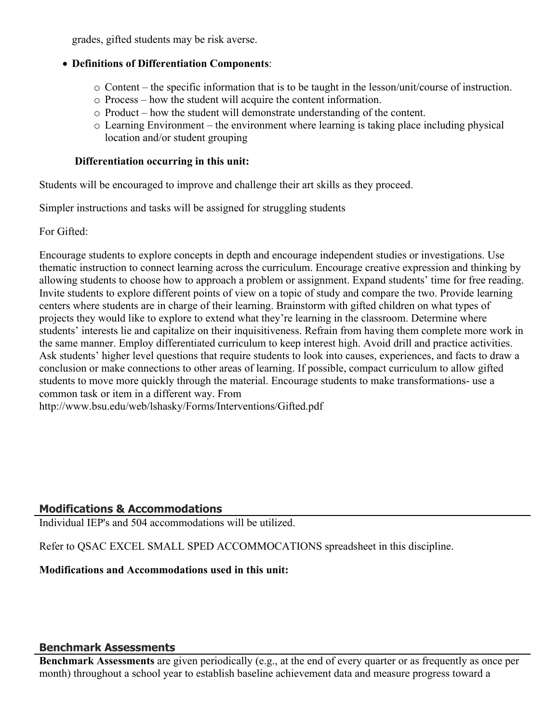grades, gifted students may be risk averse.

#### **Definitions of Differentiation Components**:

- $\circ$  Content the specific information that is to be taught in the lesson/unit/course of instruction.
- o Process how the student will acquire the content information.
- o Product how the student will demonstrate understanding of the content.
- o Learning Environment the environment where learning is taking place including physical location and/or student grouping

#### **Differentiation occurring in this unit:**

Students will be encouraged to improve and challenge their art skills as they proceed.

Simpler instructions and tasks will be assigned for struggling students

For Gifted:

Encourage students to explore concepts in depth and encourage independent studies or investigations. Use thematic instruction to connect learning across the curriculum. Encourage creative expression and thinking by allowing students to choose how to approach a problem or assignment. Expand students' time for free reading. Invite students to explore different points of view on a topic of study and compare the two. Provide learning centers where students are in charge of their learning. Brainstorm with gifted children on what types of projects they would like to explore to extend what they're learning in the classroom. Determine where students' interests lie and capitalize on their inquisitiveness. Refrain from having them complete more work in the same manner. Employ differentiated curriculum to keep interest high. Avoid drill and practice activities. Ask students' higher level questions that require students to look into causes, experiences, and facts to draw a conclusion or make connections to other areas of learning. If possible, compact curriculum to allow gifted students to move more quickly through the material. Encourage students to make transformations- use a common task or item in a different way. From http://www.bsu.edu/web/lshasky/Forms/Interventions/Gifted.pdf

#### **Modifications & Accommodations**

Individual IEP's and 504 accommodations will be utilized.

Refer to QSAC EXCEL SMALL SPED ACCOMMOCATIONS spreadsheet in this discipline.

#### **Modifications and Accommodations used in this unit:**

#### **Benchmark Assessments**

**Benchmark Assessments** are given periodically (e.g., at the end of every quarter or as frequently as once per month) throughout a school year to establish baseline achievement data and measure progress toward a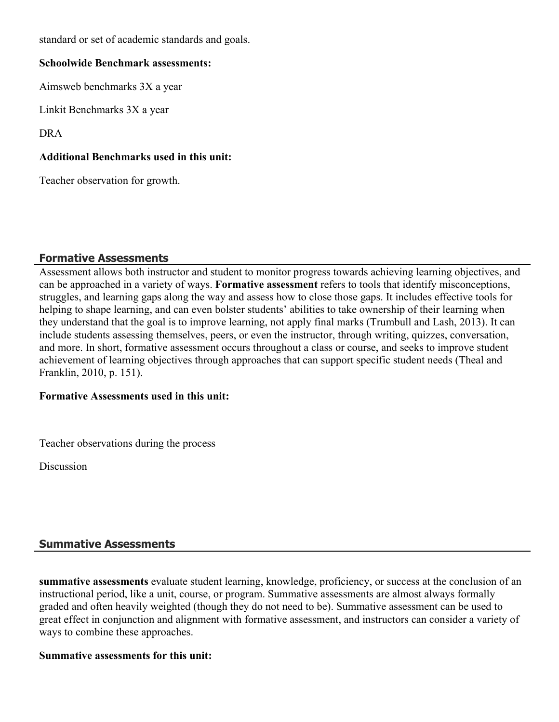standard or set of academic standards and goals.

#### **Schoolwide Benchmark assessments:**

Aimsweb benchmarks 3X a year

Linkit Benchmarks 3X a year

DRA

#### **Additional Benchmarks used in this unit:**

Teacher observation for growth.

#### **Formative Assessments**

Assessment allows both instructor and student to monitor progress towards achieving learning objectives, and can be approached in a variety of ways. **Formative assessment** refers to tools that identify misconceptions, struggles, and learning gaps along the way and assess how to close those gaps. It includes effective tools for helping to shape learning, and can even bolster students' abilities to take ownership of their learning when they understand that the goal is to improve learning, not apply final marks (Trumbull and Lash, 2013). It can include students assessing themselves, peers, or even the instructor, through writing, quizzes, conversation, and more. In short, formative assessment occurs throughout a class or course, and seeks to improve student achievement of learning objectives through approaches that can support specific student needs (Theal and Franklin, 2010, p. 151).

#### **Formative Assessments used in this unit:**

Teacher observations during the process

Discussion

#### **Summative Assessments**

**summative assessments** evaluate student learning, knowledge, proficiency, or success at the conclusion of an instructional period, like a unit, course, or program. Summative assessments are almost always formally graded and often heavily weighted (though they do not need to be). Summative assessment can be used to great effect in conjunction and alignment with formative assessment, and instructors can consider a variety of ways to combine these approaches.

#### **Summative assessments for this unit:**